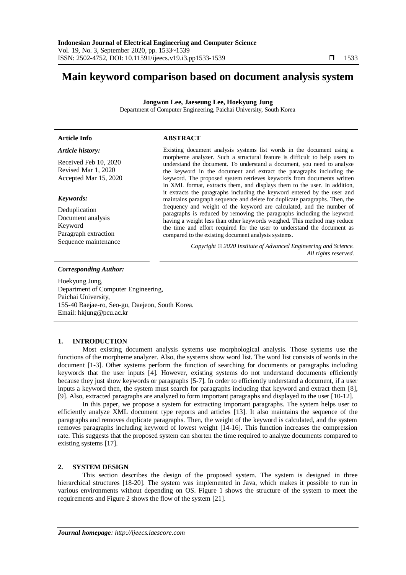# **Main keyword comparison based on document analysis system**

**Jongwon Lee, Jaeseung Lee, Hoekyung Jung**

Department of Computer Engineering, Paichai University, South Korea

#### **Article Info ABSTRACT** *Article history:* Received Feb 10, 2020 Revised Mar 1, 2020 Accepted Mar 15, 2020 Existing document analysis systems list words in the document using a morpheme analyzer. Such a structural feature is difficult to help users to understand the document. To understand a document, you need to analyze the keyword in the document and extract the paragraphs including the in XML format, extracts them, and displays them to the user. In addition, maintains paragraph sequence and delete for duplicate paragraphs. Then, the *Keywords:* Deduplication

Document analysis Keyword Paragraph extraction Sequence maintenance keyword. The proposed system retrieves keywords from documents written it extracts the paragraphs including the keyword entered by the user and frequency and weight of the keyword are calculated, and the number of paragraphs is reduced by removing the paragraphs including the keyword having a weight less than other keywords weighed. This method may reduce the time and effort required for the user to understand the document as compared to the existing document analysis systems.

> *Copyright © 2020 Institute of Advanced Engineering and Science. All rights reserved.*

## *Corresponding Author:*

Hoekyung Jung, Department of Computer Engineering, Paichai University, 155-40 Baejae-ro, Seo-gu, Daejeon, South Korea. Email: hkjung@pcu.ac.kr

# **1. INTRODUCTION**

Most existing document analysis systems use morphological analysis. Those systems use the functions of the morpheme analyzer. Also, the systems show word list. The word list consists of words in the document [1-3]. Other systems perform the function of searching for documents or paragraphs including keywords that the user inputs [4]. However, existing systems do not understand documents efficiently because they just show keywords or paragraphs [5-7]. In order to efficiently understand a document, if a user inputs a keyword then, the system must search for paragraphs including that keyword and extract them [8], [9]. Also, extracted paragraphs are analyzed to form important paragraphs and displayed to the user [10-12].

In this paper, we propose a system for extracting important paragraphs. The system helps user to efficiently analyze XML document type reports and articles [13]. It also maintains the sequence of the paragraphs and removes duplicate paragraphs. Then, the weight of the keyword is calculated, and the system removes paragraphs including keyword of lowest weight [14-16]. This function increases the compression rate. This suggests that the proposed system can shorten the time required to analyze documents compared to existing systems [17].

# **2. SYSTEM DESIGN**

This section describes the design of the proposed system. The system is designed in three hierarchical structures [18-20]. The system was implemented in Java, which makes it possible to run in various environments without depending on OS. Figure 1 shows the structure of the system to meet the requirements and Figure 2 shows the flow of the system [21].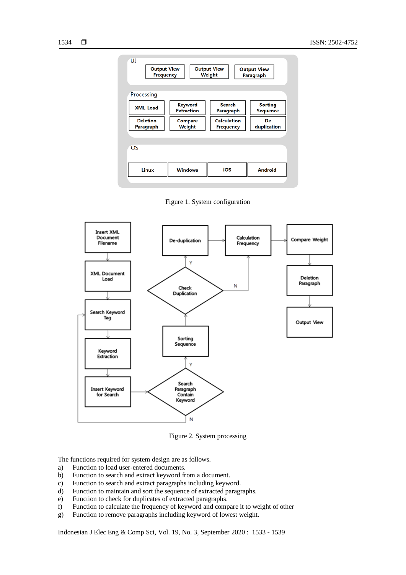

Figure 1. System configuration



Figure 2. System processing

The functions required for system design are as follows.

- a) Function to load user-entered documents.
- b) Function to search and extract keyword from a document.
- c) Function to search and extract paragraphs including keyword.
- d) Function to maintain and sort the sequence of extracted paragraphs.
- e) Function to check for duplicates of extracted paragraphs.
- f) Function to calculate the frequency of keyword and compare it to weight of other
- g) Function to remove paragraphs including keyword of lowest weight.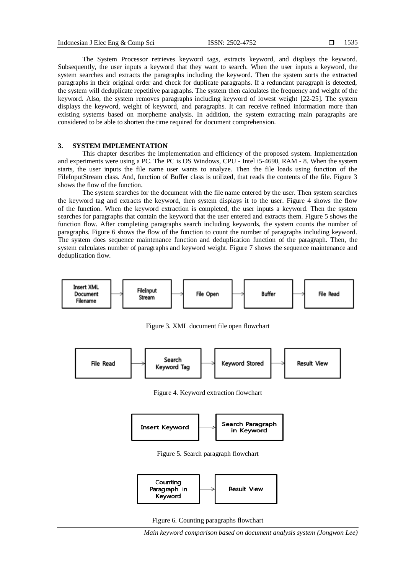The System Processor retrieves keyword tags, extracts keyword, and displays the keyword. Subsequently, the user inputs a keyword that they want to search. When the user inputs a keyword, the system searches and extracts the paragraphs including the keyword. Then the system sorts the extracted paragraphs in their original order and check for duplicate paragraphs. If a redundant paragraph is detected, the system will deduplicate repetitive paragraphs. The system then calculates the frequency and weight of the keyword. Also, the system removes paragraphs including keyword of lowest weight [22-25]. The system displays the keyword, weight of keyword, and paragraphs. It can receive refined information more than existing systems based on morpheme analysis. In addition, the system extracting main paragraphs are considered to be able to shorten the time required for document comprehension.

## **3. SYSTEM IMPLEMENTATION**

This chapter describes the implementation and efficiency of the proposed system. Implementation and experiments were using a PC. The PC is OS Windows, CPU - Intel i5-4690, RAM - 8. When the system starts, the user inputs the file name user wants to analyze. Then the file loads using function of the FileInputStream class. And, function of Buffer class is utilized, that reads the contents of the file. Figure 3 shows the flow of the function.

The system searches for the document with the file name entered by the user. Then system searches the keyword tag and extracts the keyword, then system displays it to the user. Figure 4 shows the flow of the function. When the keyword extraction is completed, the user inputs a keyword. Then the system searches for paragraphs that contain the keyword that the user entered and extracts them. Figure 5 shows the function flow. After completing paragraphs search including keywords, the system counts the number of paragraphs. Figure 6 shows the flow of the function to count the number of paragraphs including keyword. The system does sequence maintenance function and deduplication function of the paragraph. Then, the system calculates number of paragraphs and keyword weight. Figure 7 shows the sequence maintenance and deduplication flow.



Figure 3. XML document file open flowchart



Figure 4. Keyword extraction flowchart



Figure 5. Search paragraph flowchart



Figure 6. Counting paragraphs flowchart

*Main keyword comparison based on document analysis system (Jongwon Lee)*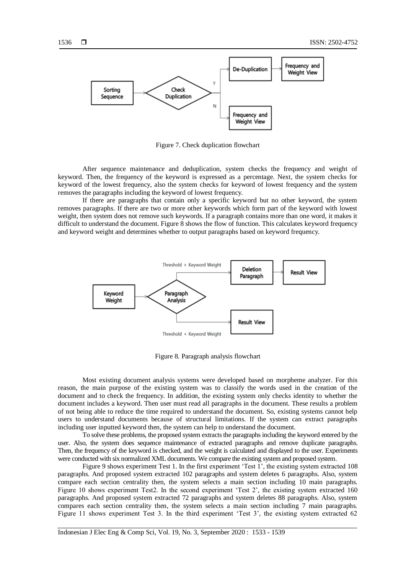

Figure 7. Check duplication flowchart

After sequence maintenance and deduplication, system checks the frequency and weight of keyword. Then, the frequency of the keyword is expressed as a percentage. Next, the system checks for keyword of the lowest frequency, also the system checks for keyword of lowest frequency and the system removes the paragraphs including the keyword of lowest frequency.

If there are paragraphs that contain only a specific keyword but no other keyword, the system removes paragraphs. If there are two or more other keywords which form part of the keyword with lowest weight, then system does not remove such keywords. If a paragraph contains more than one word, it makes it difficult to understand the document. Figure 8 shows the flow of function. This calculates keyword frequency and keyword weight and determines whether to output paragraphs based on keyword frequency.



Figure 8. Paragraph analysis flowchart

Most existing document analysis systems were developed based on morpheme analyzer. For this reason, the main purpose of the existing system was to classify the words used in the creation of the document and to check the frequency. In addition, the existing system only checks identity to whether the document includes a keyword. Then user must read all paragraphs in the document. These results a problem of not being able to reduce the time required to understand the document. So, existing systems cannot help users to understand documents because of structural limitations. If the system can extract paragraphs including user inputted keyword then, the system can help to understand the document.

To solve these problems, the proposed system extracts the paragraphs including the keyword entered by the user. Also, the system does sequence maintenance of extracted paragraphs and remove duplicate paragraphs. Then, the frequency of the keyword is checked, and the weight is calculated and displayed to the user. Experiments were conducted with six normalized XML documents. We compare the existing system and proposed system.

Figure 9 shows experiment Test 1. In the first experiment 'Test 1', the existing system extracted 108 paragraphs. And proposed system extracted 102 paragraphs and system deletes 6 paragraphs. Also, system compare each section centrality then, the system selects a main section including 10 main paragraphs. Figure 10 shows experiment Test2. In the second experiment "Test 2", the existing system extracted 160 paragraphs. And proposed system extracted 72 paragraphs and system deletes 88 paragraphs. Also, system compares each section centrality then, the system selects a main section including 7 main paragraphs. Figure 11 shows experiment Test 3. In the third experiment 'Test 3', the existing system extracted 62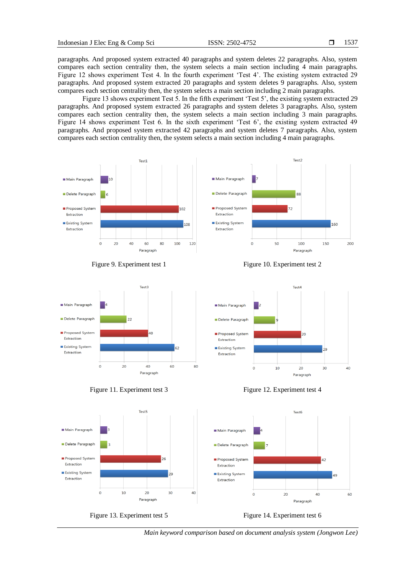paragraphs. And proposed system extracted 40 paragraphs and system deletes 22 paragraphs. Also, system compares each section centrality then, the system selects a main section including 4 main paragraphs. Figure 12 shows experiment Test 4. In the fourth experiment "Test 4". The existing system extracted 29 paragraphs. And proposed system extracted 20 paragraphs and system deletes 9 paragraphs. Also, system compares each section centrality then, the system selects a main section including 2 main paragraphs.

Figure 13 shows experiment Test 5. In the fifth experiment 'Test 5', the existing system extracted 29 paragraphs. And proposed system extracted 26 paragraphs and system deletes 3 paragraphs. Also, system compares each section centrality then, the system selects a main section including 3 main paragraphs. Figure 14 shows experiment Test 6. In the sixth experiment 'Test 6', the existing system extracted 49 paragraphs. And proposed system extracted 42 paragraphs and system deletes 7 paragraphs. Also, system compares each section centrality then, the system selects a main section including 4 main paragraphs.













*Main keyword comparison based on document analysis system (Jongwon Lee)*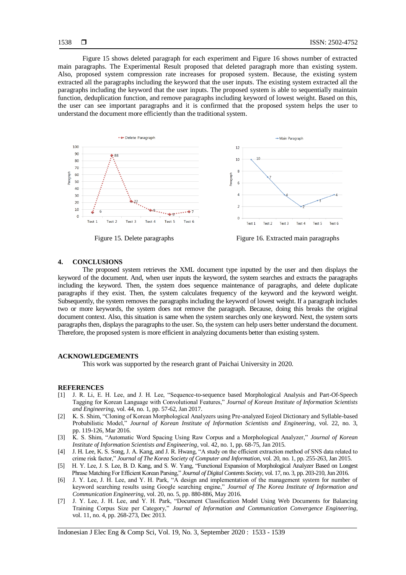Figure 15 shows deleted paragraph for each experiment and Figure 16 shows number of extracted main paragraphs. The Experimental Result proposed that deleted paragraph more than existing system. Also, proposed system compression rate increases for proposed system. Because, the existing system extracted all the paragraphs including the keyword that the user inputs. The existing system extracted all the paragraphs including the keyword that the user inputs. The proposed system is able to sequentially maintain function, deduplication function, and remove paragraphs including keyword of lowest weight. Based on this, the user can see important paragraphs and it is confirmed that the proposed system helps the user to understand the document more efficiently than the traditional system.



Figure 15. Delete paragraphs Figure 16. Extracted main paragraphs

#### **4. CONCLUSIONS**

The proposed system retrieves the XML document type inputted by the user and then displays the keyword of the document. And, when user inputs the keyword, the system searches and extracts the paragraphs including the keyword. Then, the system does sequence maintenance of paragraphs, and delete duplicate paragraphs if they exist. Then, the system calculates frequency of the keyword and the keyword weight. Subsequently, the system removes the paragraphs including the keyword of lowest weight. If a paragraph includes two or more keywords, the system does not remove the paragraph. Because, doing this breaks the original document context. Also, this situation is same when the system searches only one keyword. Next, the system sorts paragraphs then, displays the paragraphs to the user. So, the system can help users better understand the document. Therefore, the proposed system is more efficient in analyzing documents better than existing system.

### **ACKNOWLEDGEMENTS**

This work was supported by the research grant of Paichai University in 2020.

#### **REFERENCES**

- [1] J. R. Li, E. H. Lee, and J. H. Lee, "Sequence-to-sequence based Morphological Analysis and Part-Of-Speech Tagging for Korean Language with Convolutional Features," *Journal of Korean Institute of Information Scientists and Engineering*, vol. 44, no. 1, pp. 57-62, Jan 2017.
- [2] K. S. Shim, "Cloning of Korean Morphological Analyzers using Pre-analyzed Eojeol Dictionary and Syllable-based Probabilistic Model," *Journal of Korean Institute of Information Scientists and Engineering*, vol. 22, no. 3, pp. 119-126, Mar 2016.
- [3] K. S. Shim, "Automatic Word Spacing Using Raw Corpus and a Morphological Analyzer," *Journal of Korean Institute of Information Scientists and Engineering*, vol. 42, no. 1, pp. 68-75, Jan 2015.
- [4] J. H. Lee, K. S. Song, J. A. Kang, and J. R. Hwang, "A study on the efficient extraction method of SNS data related to crime risk factor," *Journal of The Korea Society of Computer and Information*, vol. 20, no. 1, pp. 255-263, Jan 2015.
- [5] H. Y. Lee, J. S. Lee, B. D. Kang, and S. W. Yang, "Functional Expansion of Morphological Analyzer Based on Longest Phrase Matching For Efficient Korean Parsing," *Journal of Digital Contents Society*, vol. 17, no. 3, pp. 203-210, Jun 2016.
- [6] J. Y. Lee, J. H. Lee, and Y. H. Park, "A design and implementation of the management system for number of keyword searching results using Google searching engine," *Journal of The Korea Institute of Information and Communication Engineering*, vol. 20, no. 5, pp. 880-886, May 2016.
- [7] J. Y. Lee, J. H. Lee, and Y. H. Park, "Document Classification Model Using Web Documents for Balancing Training Corpus Size per Category," *Journal of Information and Communication Convergence Engineering*, vol. 11, no. 4, pp. 268-273, Dec 2013.

Indonesian J Elec Eng & Comp Sci, Vol. 19, No. 3, September 2020 : 1533 - 1539